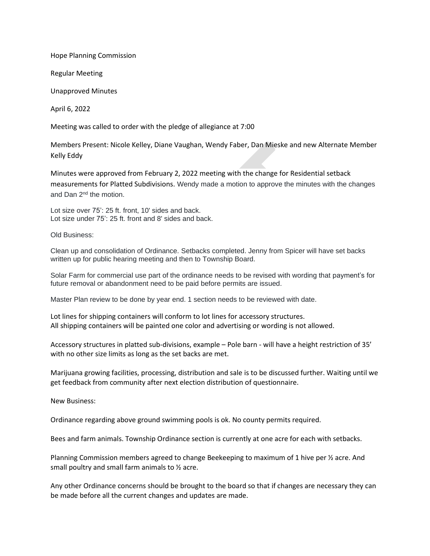Hope Planning Commission

Regular Meeting

Unapproved Minutes

April 6, 2022

Meeting was called to order with the pledge of allegiance at 7:00

Members Present: Nicole Kelley, Diane Vaughan, Wendy Faber, Dan Mieske and new Alternate Member Kelly Eddy

Minutes were approved from February 2, 2022 meeting with the change for Residential setback measurements for Platted Subdivisions. Wendy made a motion to approve the minutes with the changes and Dan 2nd the motion.

Lot size over 75': 25 ft. front, 10' sides and back. Lot size under 75': 25 ft. front and 8' sides and back.

Old Business:

Clean up and consolidation of Ordinance. Setbacks completed. Jenny from Spicer will have set backs written up for public hearing meeting and then to Township Board.

Solar Farm for commercial use part of the ordinance needs to be revised with wording that payment's for future removal or abandonment need to be paid before permits are issued.

Master Plan review to be done by year end. 1 section needs to be reviewed with date.

Lot lines for shipping containers will conform to lot lines for accessory structures. All shipping containers will be painted one color and advertising or wording is not allowed.

Accessory structures in platted sub-divisions, example – Pole barn - will have a height restriction of 35' with no other size limits as long as the set backs are met.

Marijuana growing facilities, processing, distribution and sale is to be discussed further. Waiting until we get feedback from community after next election distribution of questionnaire.

New Business:

Ordinance regarding above ground swimming pools is ok. No county permits required.

Bees and farm animals. Township Ordinance section is currently at one acre for each with setbacks.

Planning Commission members agreed to change Beekeeping to maximum of 1 hive per ½ acre. And small poultry and small farm animals to ½ acre.

Any other Ordinance concerns should be brought to the board so that if changes are necessary they can be made before all the current changes and updates are made.